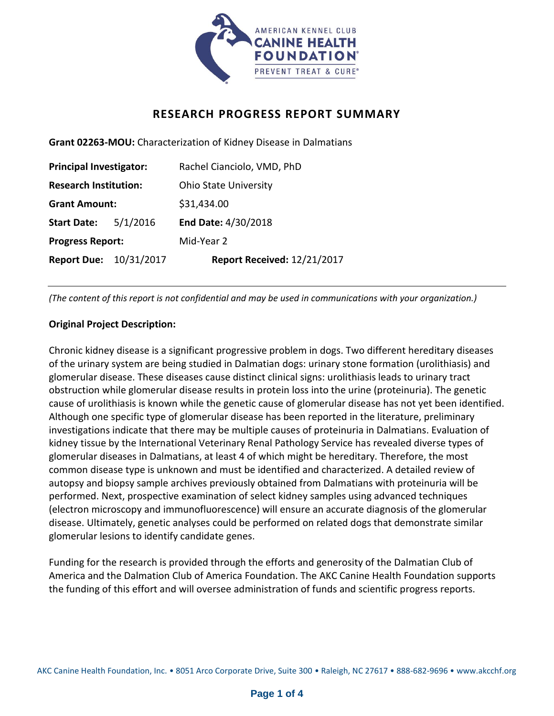

## **RESEARCH PROGRESS REPORT SUMMARY**

**Grant 02263-MOU:** Characterization of Kidney Disease in Dalmatians

| <b>Principal Investigator:</b> |          | Rachel Cianciolo, VMD, PhD   |
|--------------------------------|----------|------------------------------|
| <b>Research Institution:</b>   |          | <b>Ohio State University</b> |
| <b>Grant Amount:</b>           |          | \$31,434.00                  |
| <b>Start Date:</b>             | 5/1/2016 | End Date: 4/30/2018          |
| <b>Progress Report:</b>        |          | Mid-Year 2                   |
| <b>Report Due: 10/31/2017</b>  |          | Report Received: 12/21/2017  |

*(The content of this report is not confidential and may be used in communications with your organization.)*

## **Original Project Description:**

Chronic kidney disease is a significant progressive problem in dogs. Two different hereditary diseases of the urinary system are being studied in Dalmatian dogs: urinary stone formation (urolithiasis) and glomerular disease. These diseases cause distinct clinical signs: urolithiasis leads to urinary tract obstruction while glomerular disease results in protein loss into the urine (proteinuria). The genetic cause of urolithiasis is known while the genetic cause of glomerular disease has not yet been identified. Although one specific type of glomerular disease has been reported in the literature, preliminary investigations indicate that there may be multiple causes of proteinuria in Dalmatians. Evaluation of kidney tissue by the International Veterinary Renal Pathology Service has revealed diverse types of glomerular diseases in Dalmatians, at least 4 of which might be hereditary. Therefore, the most common disease type is unknown and must be identified and characterized. A detailed review of autopsy and biopsy sample archives previously obtained from Dalmatians with proteinuria will be performed. Next, prospective examination of select kidney samples using advanced techniques (electron microscopy and immunofluorescence) will ensure an accurate diagnosis of the glomerular disease. Ultimately, genetic analyses could be performed on related dogs that demonstrate similar glomerular lesions to identify candidate genes.

Funding for the research is provided through the efforts and generosity of the Dalmatian Club of America and the Dalmation Club of America Foundation. The AKC Canine Health Foundation supports the funding of this effort and will oversee administration of funds and scientific progress reports.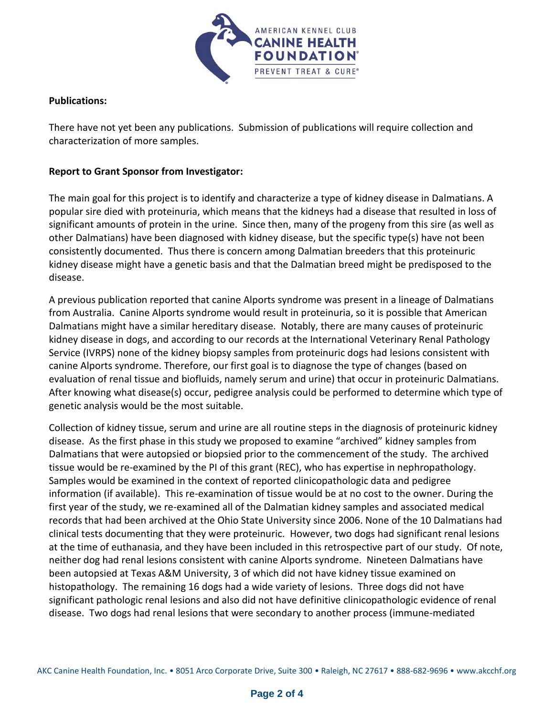

## **Publications:**

There have not yet been any publications. Submission of publications will require collection and characterization of more samples.

## **Report to Grant Sponsor from Investigator:**

The main goal for this project is to identify and characterize a type of kidney disease in Dalmatians. A popular sire died with proteinuria, which means that the kidneys had a disease that resulted in loss of significant amounts of protein in the urine. Since then, many of the progeny from this sire (as well as other Dalmatians) have been diagnosed with kidney disease, but the specific type(s) have not been consistently documented. Thus there is concern among Dalmatian breeders that this proteinuric kidney disease might have a genetic basis and that the Dalmatian breed might be predisposed to the disease.

A previous publication reported that canine Alports syndrome was present in a lineage of Dalmatians from Australia. Canine Alports syndrome would result in proteinuria, so it is possible that American Dalmatians might have a similar hereditary disease. Notably, there are many causes of proteinuric kidney disease in dogs, and according to our records at the International Veterinary Renal Pathology Service (IVRPS) none of the kidney biopsy samples from proteinuric dogs had lesions consistent with canine Alports syndrome. Therefore, our first goal is to diagnose the type of changes (based on evaluation of renal tissue and biofluids, namely serum and urine) that occur in proteinuric Dalmatians. After knowing what disease(s) occur, pedigree analysis could be performed to determine which type of genetic analysis would be the most suitable.

Collection of kidney tissue, serum and urine are all routine steps in the diagnosis of proteinuric kidney disease. As the first phase in this study we proposed to examine "archived" kidney samples from Dalmatians that were autopsied or biopsied prior to the commencement of the study. The archived tissue would be re-examined by the PI of this grant (REC), who has expertise in nephropathology. Samples would be examined in the context of reported clinicopathologic data and pedigree information (if available). This re-examination of tissue would be at no cost to the owner. During the first year of the study, we re-examined all of the Dalmatian kidney samples and associated medical records that had been archived at the Ohio State University since 2006. None of the 10 Dalmatians had clinical tests documenting that they were proteinuric. However, two dogs had significant renal lesions at the time of euthanasia, and they have been included in this retrospective part of our study. Of note, neither dog had renal lesions consistent with canine Alports syndrome. Nineteen Dalmatians have been autopsied at Texas A&M University, 3 of which did not have kidney tissue examined on histopathology. The remaining 16 dogs had a wide variety of lesions. Three dogs did not have significant pathologic renal lesions and also did not have definitive clinicopathologic evidence of renal disease. Two dogs had renal lesions that were secondary to another process (immune-mediated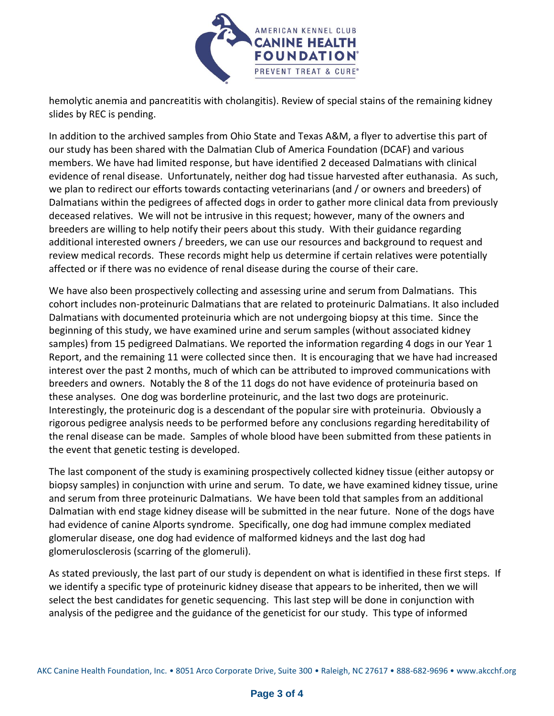

hemolytic anemia and pancreatitis with cholangitis). Review of special stains of the remaining kidney slides by REC is pending.

In addition to the archived samples from Ohio State and Texas A&M, a flyer to advertise this part of our study has been shared with the Dalmatian Club of America Foundation (DCAF) and various members. We have had limited response, but have identified 2 deceased Dalmatians with clinical evidence of renal disease. Unfortunately, neither dog had tissue harvested after euthanasia. As such, we plan to redirect our efforts towards contacting veterinarians (and / or owners and breeders) of Dalmatians within the pedigrees of affected dogs in order to gather more clinical data from previously deceased relatives. We will not be intrusive in this request; however, many of the owners and breeders are willing to help notify their peers about this study. With their guidance regarding additional interested owners / breeders, we can use our resources and background to request and review medical records. These records might help us determine if certain relatives were potentially affected or if there was no evidence of renal disease during the course of their care.

We have also been prospectively collecting and assessing urine and serum from Dalmatians. This cohort includes non-proteinuric Dalmatians that are related to proteinuric Dalmatians. It also included Dalmatians with documented proteinuria which are not undergoing biopsy at this time. Since the beginning of this study, we have examined urine and serum samples (without associated kidney samples) from 15 pedigreed Dalmatians. We reported the information regarding 4 dogs in our Year 1 Report, and the remaining 11 were collected since then. It is encouraging that we have had increased interest over the past 2 months, much of which can be attributed to improved communications with breeders and owners. Notably the 8 of the 11 dogs do not have evidence of proteinuria based on these analyses. One dog was borderline proteinuric, and the last two dogs are proteinuric. Interestingly, the proteinuric dog is a descendant of the popular sire with proteinuria. Obviously a rigorous pedigree analysis needs to be performed before any conclusions regarding hereditability of the renal disease can be made. Samples of whole blood have been submitted from these patients in the event that genetic testing is developed.

The last component of the study is examining prospectively collected kidney tissue (either autopsy or biopsy samples) in conjunction with urine and serum. To date, we have examined kidney tissue, urine and serum from three proteinuric Dalmatians. We have been told that samples from an additional Dalmatian with end stage kidney disease will be submitted in the near future. None of the dogs have had evidence of canine Alports syndrome. Specifically, one dog had immune complex mediated glomerular disease, one dog had evidence of malformed kidneys and the last dog had glomerulosclerosis (scarring of the glomeruli).

As stated previously, the last part of our study is dependent on what is identified in these first steps. If we identify a specific type of proteinuric kidney disease that appears to be inherited, then we will select the best candidates for genetic sequencing. This last step will be done in conjunction with analysis of the pedigree and the guidance of the geneticist for our study. This type of informed